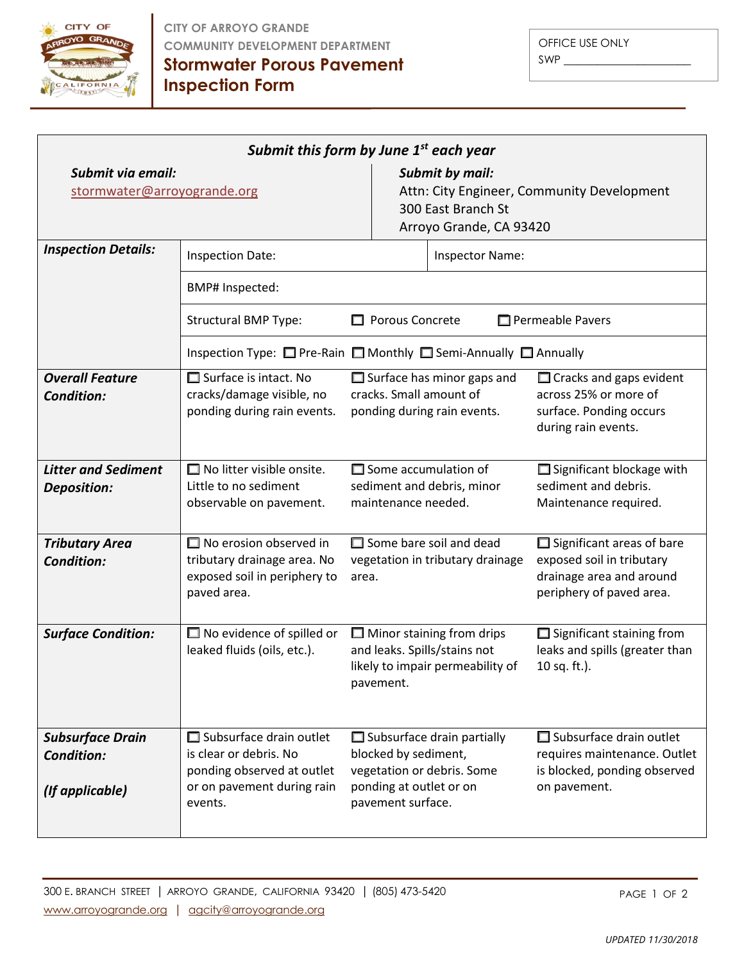

**CITY OF ARROYO GRANDE COMMUNITY DEVELOPMENT DEPARTMENT**

OFFICE USE ONLY SWP \_\_\_\_\_\_\_\_\_\_\_\_\_\_\_\_\_\_\_

**Stormwater Porous Pavement Inspection Form**

| Submit this form by June $1st$ each year                        |                                                                                                                                 |                                                                                                                                         |                                                                                                                       |  |  |  |  |  |
|-----------------------------------------------------------------|---------------------------------------------------------------------------------------------------------------------------------|-----------------------------------------------------------------------------------------------------------------------------------------|-----------------------------------------------------------------------------------------------------------------------|--|--|--|--|--|
| Submit via email:<br>stormwater@arroyogrande.org                |                                                                                                                                 | <b>Submit by mail:</b><br>Attn: City Engineer, Community Development<br>300 East Branch St<br>Arroyo Grande, CA 93420                   |                                                                                                                       |  |  |  |  |  |
| <b>Inspection Details:</b>                                      | <b>Inspection Date:</b>                                                                                                         |                                                                                                                                         |                                                                                                                       |  |  |  |  |  |
|                                                                 | BMP# Inspected:                                                                                                                 |                                                                                                                                         |                                                                                                                       |  |  |  |  |  |
|                                                                 | <b>Structural BMP Type:</b>                                                                                                     | Porous Concrete                                                                                                                         | Permeable Pavers                                                                                                      |  |  |  |  |  |
|                                                                 | Inspection Type: □ Pre-Rain □ Monthly □ Semi-Annually □ Annually                                                                |                                                                                                                                         |                                                                                                                       |  |  |  |  |  |
| <b>Overall Feature</b><br><b>Condition:</b>                     | $\Box$ Surface is intact. No<br>cracks/damage visible, no<br>ponding during rain events.                                        | $\Box$ Surface has minor gaps and<br>cracks. Small amount of<br>ponding during rain events.                                             | $\Box$ Cracks and gaps evident<br>across 25% or more of<br>surface. Ponding occurs<br>during rain events.             |  |  |  |  |  |
| <b>Litter and Sediment</b><br>Deposition:                       | $\Box$ No litter visible onsite.<br>Little to no sediment<br>observable on pavement.                                            | $\Box$ Some accumulation of<br>sediment and debris, minor<br>maintenance needed.                                                        | $\Box$ Significant blockage with<br>sediment and debris.<br>Maintenance required.                                     |  |  |  |  |  |
| <b>Tributary Area</b><br><b>Condition:</b>                      | $\Box$ No erosion observed in<br>tributary drainage area. No<br>exposed soil in periphery to<br>paved area.                     | $\Box$ Some bare soil and dead<br>vegetation in tributary drainage<br>area.                                                             | $\Box$ Significant areas of bare<br>exposed soil in tributary<br>drainage area and around<br>periphery of paved area. |  |  |  |  |  |
| <b>Surface Condition:</b>                                       | $\Box$ No evidence of spilled or<br>leaked fluids (oils, etc.).                                                                 | $\Box$ Minor staining from drips<br>and leaks. Spills/stains not<br>likely to impair permeability of<br>pavement.                       | $\Box$ Significant staining from<br>leaks and spills (greater than<br>10 sq. ft.).                                    |  |  |  |  |  |
| <b>Subsurface Drain</b><br><b>Condition:</b><br>(If applicable) | $\Box$ Subsurface drain outlet<br>is clear or debris. No<br>ponding observed at outlet<br>or on pavement during rain<br>events. | $\Box$ Subsurface drain partially<br>blocked by sediment,<br>vegetation or debris. Some<br>ponding at outlet or on<br>pavement surface. | $\Box$ Subsurface drain outlet<br>requires maintenance. Outlet<br>is blocked, ponding observed<br>on pavement.        |  |  |  |  |  |